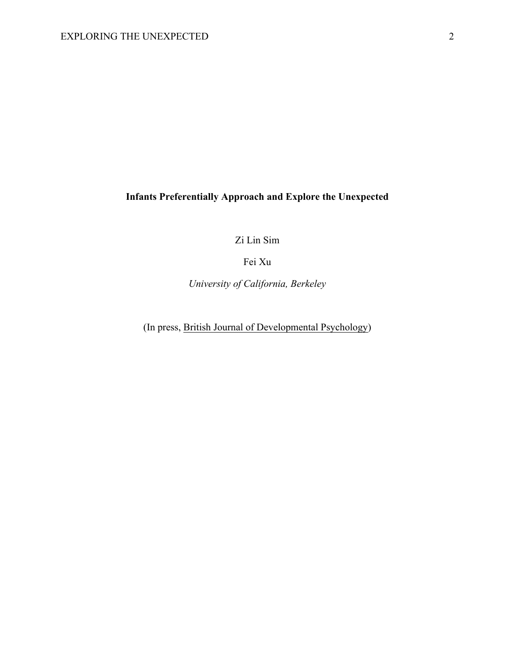# **Infants Preferentially Approach and Explore the Unexpected**

Zi Lin Sim

Fei Xu

*University of California, Berkeley*

(In press, British Journal of Developmental Psychology)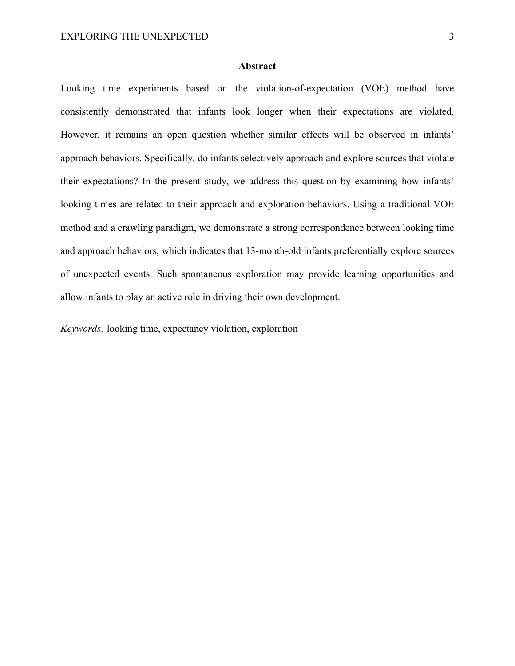## **Abstract**

Looking time experiments based on the violation-of-expectation (VOE) method have consistently demonstrated that infants look longer when their expectations are violated. However, it remains an open question whether similar effects will be observed in infants' approach behaviors. Specifically, do infants selectively approach and explore sources that violate their expectations? In the present study, we address this question by examining how infants' looking times are related to their approach and exploration behaviors. Using a traditional VOE method and a crawling paradigm, we demonstrate a strong correspondence between looking time and approach behaviors, which indicates that 13-month-old infants preferentially explore sources of unexpected events. Such spontaneous exploration may provide learning opportunities and allow infants to play an active role in driving their own development.

*Keywords:* looking time, expectancy violation, exploration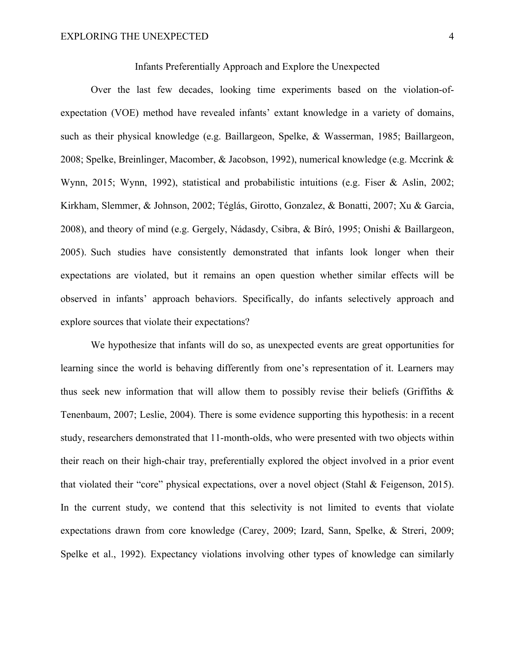Infants Preferentially Approach and Explore the Unexpected

Over the last few decades, looking time experiments based on the violation-ofexpectation (VOE) method have revealed infants' extant knowledge in a variety of domains, such as their physical knowledge (e.g. Baillargeon, Spelke, & Wasserman, 1985; Baillargeon, 2008; Spelke, Breinlinger, Macomber, & Jacobson, 1992), numerical knowledge (e.g. Mccrink & Wynn, 2015; Wynn, 1992), statistical and probabilistic intuitions (e.g. Fiser & Aslin, 2002; Kirkham, Slemmer, & Johnson, 2002; Téglás, Girotto, Gonzalez, & Bonatti, 2007; Xu & Garcia, 2008), and theory of mind (e.g. Gergely, Nádasdy, Csibra, & Bíró, 1995; Onishi & Baillargeon, 2005). Such studies have consistently demonstrated that infants look longer when their expectations are violated, but it remains an open question whether similar effects will be observed in infants' approach behaviors. Specifically, do infants selectively approach and explore sources that violate their expectations?

We hypothesize that infants will do so, as unexpected events are great opportunities for learning since the world is behaving differently from one's representation of it. Learners may thus seek new information that will allow them to possibly revise their beliefs (Griffiths  $\&$ Tenenbaum, 2007; Leslie, 2004). There is some evidence supporting this hypothesis: in a recent study, researchers demonstrated that 11-month-olds, who were presented with two objects within their reach on their high-chair tray, preferentially explored the object involved in a prior event that violated their "core" physical expectations, over a novel object (Stahl & Feigenson, 2015). In the current study, we contend that this selectivity is not limited to events that violate expectations drawn from core knowledge (Carey, 2009; Izard, Sann, Spelke, & Streri, 2009; Spelke et al., 1992). Expectancy violations involving other types of knowledge can similarly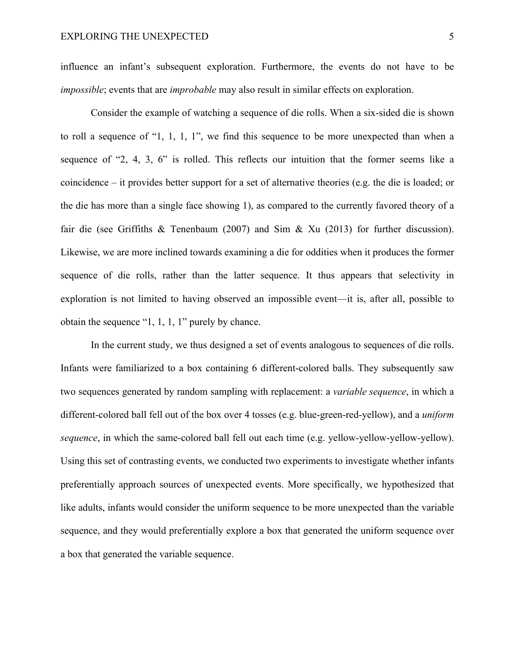influence an infant's subsequent exploration. Furthermore, the events do not have to be *impossible*; events that are *improbable* may also result in similar effects on exploration.

Consider the example of watching a sequence of die rolls. When a six-sided die is shown to roll a sequence of "1, 1, 1, 1", we find this sequence to be more unexpected than when a sequence of "2, 4, 3, 6" is rolled. This reflects our intuition that the former seems like a coincidence – it provides better support for a set of alternative theories (e.g. the die is loaded; or the die has more than a single face showing 1), as compared to the currently favored theory of a fair die (see Griffiths & Tenenbaum (2007) and Sim & Xu (2013) for further discussion). Likewise, we are more inclined towards examining a die for oddities when it produces the former sequence of die rolls, rather than the latter sequence. It thus appears that selectivity in exploration is not limited to having observed an impossible event—it is, after all, possible to obtain the sequence "1, 1, 1, 1" purely by chance.

In the current study, we thus designed a set of events analogous to sequences of die rolls. Infants were familiarized to a box containing 6 different-colored balls. They subsequently saw two sequences generated by random sampling with replacement: a *variable sequence*, in which a different-colored ball fell out of the box over 4 tosses (e.g. blue-green-red-yellow), and a *uniform sequence*, in which the same-colored ball fell out each time (e.g. yellow-yellow-yellow-yellow). Using this set of contrasting events, we conducted two experiments to investigate whether infants preferentially approach sources of unexpected events. More specifically, we hypothesized that like adults, infants would consider the uniform sequence to be more unexpected than the variable sequence, and they would preferentially explore a box that generated the uniform sequence over a box that generated the variable sequence.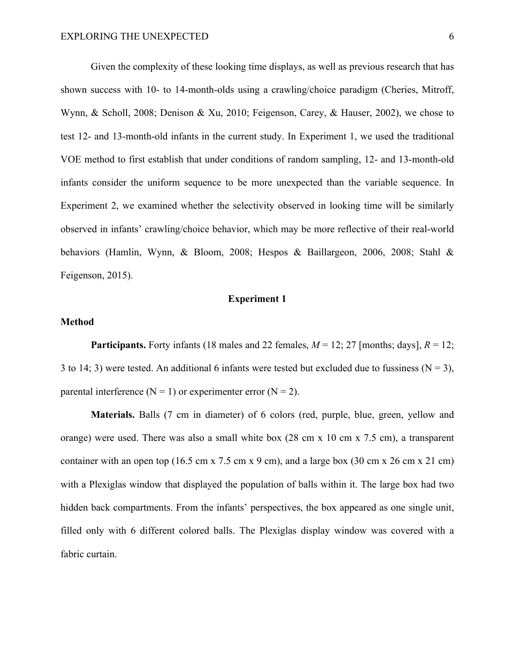Given the complexity of these looking time displays, as well as previous research that has shown success with 10- to 14-month-olds using a crawling/choice paradigm (Cheries, Mitroff, Wynn, & Scholl, 2008; Denison & Xu, 2010; Feigenson, Carey, & Hauser, 2002), we chose to test 12- and 13-month-old infants in the current study. In Experiment 1, we used the traditional VOE method to first establish that under conditions of random sampling, 12- and 13-month-old infants consider the uniform sequence to be more unexpected than the variable sequence. In Experiment 2, we examined whether the selectivity observed in looking time will be similarly observed in infants' crawling/choice behavior, which may be more reflective of their real-world behaviors (Hamlin, Wynn, & Bloom, 2008; Hespos & Baillargeon, 2006, 2008; Stahl & Feigenson, 2015).

# **Experiment 1**

#### **Method**

**Participants.** Forty infants (18 males and 22 females,  $M = 12$ ; 27 [months; days],  $R = 12$ ; 3 to 14; 3) were tested. An additional 6 infants were tested but excluded due to fussiness ( $N = 3$ ), parental interference  $(N = 1)$  or experimenter error  $(N = 2)$ .

**Materials.** Balls (7 cm in diameter) of 6 colors (red, purple, blue, green, yellow and orange) were used. There was also a small white box (28 cm x 10 cm x 7.5 cm), a transparent container with an open top (16.5 cm x 7.5 cm x 9 cm), and a large box (30 cm x 26 cm x 21 cm) with a Plexiglas window that displayed the population of balls within it. The large box had two hidden back compartments. From the infants' perspectives, the box appeared as one single unit, filled only with 6 different colored balls. The Plexiglas display window was covered with a fabric curtain.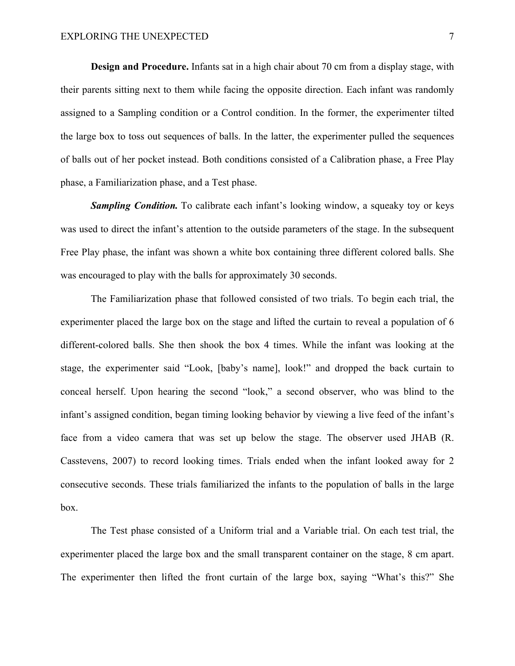**Design and Procedure.** Infants sat in a high chair about 70 cm from a display stage, with their parents sitting next to them while facing the opposite direction. Each infant was randomly assigned to a Sampling condition or a Control condition. In the former, the experimenter tilted the large box to toss out sequences of balls. In the latter, the experimenter pulled the sequences of balls out of her pocket instead. Both conditions consisted of a Calibration phase, a Free Play phase, a Familiarization phase, and a Test phase.

**Sampling Condition.** To calibrate each infant's looking window, a squeaky toy or keys was used to direct the infant's attention to the outside parameters of the stage. In the subsequent Free Play phase, the infant was shown a white box containing three different colored balls. She was encouraged to play with the balls for approximately 30 seconds.

The Familiarization phase that followed consisted of two trials. To begin each trial, the experimenter placed the large box on the stage and lifted the curtain to reveal a population of 6 different-colored balls. She then shook the box 4 times. While the infant was looking at the stage, the experimenter said "Look, [baby's name], look!" and dropped the back curtain to conceal herself. Upon hearing the second "look," a second observer, who was blind to the infant's assigned condition, began timing looking behavior by viewing a live feed of the infant's face from a video camera that was set up below the stage. The observer used JHAB (R. Casstevens, 2007) to record looking times. Trials ended when the infant looked away for 2 consecutive seconds. These trials familiarized the infants to the population of balls in the large box.

The Test phase consisted of a Uniform trial and a Variable trial. On each test trial, the experimenter placed the large box and the small transparent container on the stage, 8 cm apart. The experimenter then lifted the front curtain of the large box, saying "What's this?" She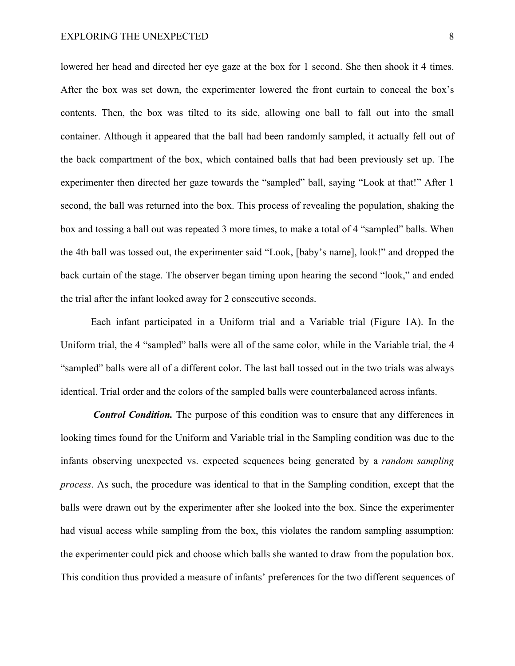lowered her head and directed her eye gaze at the box for 1 second. She then shook it 4 times. After the box was set down, the experimenter lowered the front curtain to conceal the box's contents. Then, the box was tilted to its side, allowing one ball to fall out into the small container. Although it appeared that the ball had been randomly sampled, it actually fell out of the back compartment of the box, which contained balls that had been previously set up. The experimenter then directed her gaze towards the "sampled" ball, saying "Look at that!" After 1 second, the ball was returned into the box. This process of revealing the population, shaking the box and tossing a ball out was repeated 3 more times, to make a total of 4 "sampled" balls. When the 4th ball was tossed out, the experimenter said "Look, [baby's name], look!" and dropped the back curtain of the stage. The observer began timing upon hearing the second "look," and ended the trial after the infant looked away for 2 consecutive seconds.

Each infant participated in a Uniform trial and a Variable trial (Figure 1A). In the Uniform trial, the 4 "sampled" balls were all of the same color, while in the Variable trial, the 4 "sampled" balls were all of a different color. The last ball tossed out in the two trials was always identical. Trial order and the colors of the sampled balls were counterbalanced across infants.

*Control Condition.* The purpose of this condition was to ensure that any differences in looking times found for the Uniform and Variable trial in the Sampling condition was due to the infants observing unexpected vs. expected sequences being generated by a *random sampling process*. As such, the procedure was identical to that in the Sampling condition, except that the balls were drawn out by the experimenter after she looked into the box. Since the experimenter had visual access while sampling from the box, this violates the random sampling assumption: the experimenter could pick and choose which balls she wanted to draw from the population box. This condition thus provided a measure of infants' preferences for the two different sequences of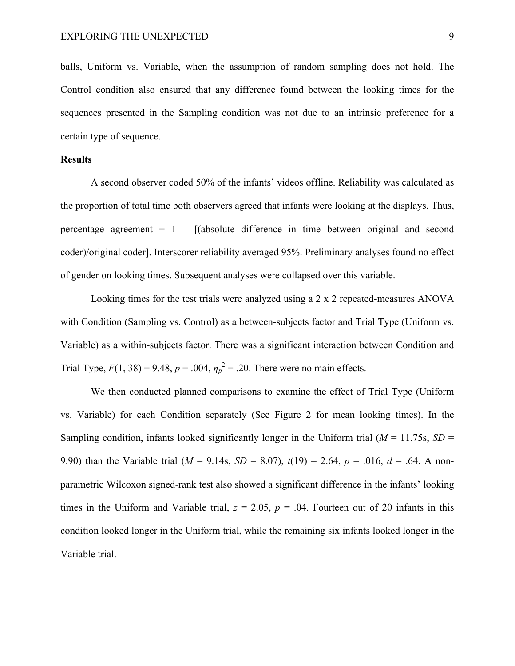balls, Uniform vs. Variable, when the assumption of random sampling does not hold. The Control condition also ensured that any difference found between the looking times for the sequences presented in the Sampling condition was not due to an intrinsic preference for a certain type of sequence.

## **Results**

A second observer coded 50% of the infants' videos offline. Reliability was calculated as the proportion of total time both observers agreed that infants were looking at the displays. Thus, percentage agreement  $= 1 - [(absolute difference in time between original and second$ coder)/original coder]. Interscorer reliability averaged 95%. Preliminary analyses found no effect of gender on looking times. Subsequent analyses were collapsed over this variable.

Looking times for the test trials were analyzed using a 2 x 2 repeated-measures ANOVA with Condition (Sampling vs. Control) as a between-subjects factor and Trial Type (Uniform vs. Variable) as a within-subjects factor. There was a significant interaction between Condition and Trial Type,  $F(1, 38) = 9.48$ ,  $p = .004$ ,  $\eta_p^2 = .20$ . There were no main effects.

We then conducted planned comparisons to examine the effect of Trial Type (Uniform vs. Variable) for each Condition separately (See Figure 2 for mean looking times). In the Sampling condition, infants looked significantly longer in the Uniform trial  $(M = 11.75s, SD =$ 9.90) than the Variable trial  $(M = 9.14s, SD = 8.07)$ ,  $t(19) = 2.64$ ,  $p = .016$ ,  $d = .64$ . A nonparametric Wilcoxon signed-rank test also showed a significant difference in the infants' looking times in the Uniform and Variable trial,  $z = 2.05$ ,  $p = .04$ . Fourteen out of 20 infants in this condition looked longer in the Uniform trial, while the remaining six infants looked longer in the Variable trial.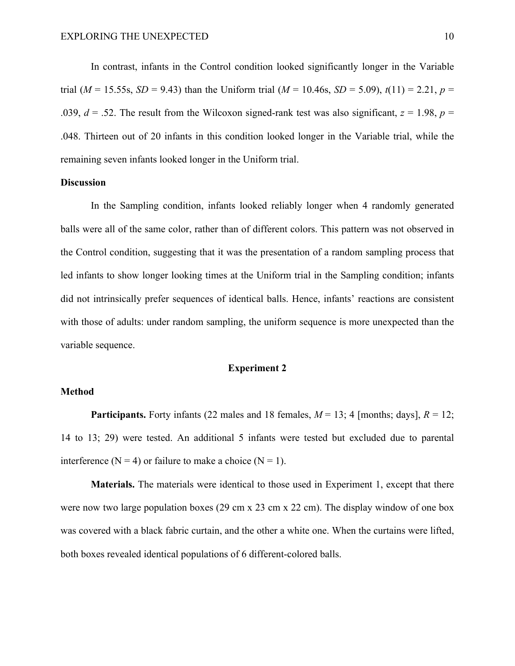In contrast, infants in the Control condition looked significantly longer in the Variable trial ( $M = 15.55s$ ,  $SD = 9.43$ ) than the Uniform trial ( $M = 10.46s$ ,  $SD = 5.09$ ),  $t(11) = 2.21$ ,  $p =$ .039,  $d = 0.52$ . The result from the Wilcoxon signed-rank test was also significant,  $z = 1.98$ ,  $p = 0.99$ . .048. Thirteen out of 20 infants in this condition looked longer in the Variable trial, while the remaining seven infants looked longer in the Uniform trial.

# **Discussion**

In the Sampling condition, infants looked reliably longer when 4 randomly generated balls were all of the same color, rather than of different colors. This pattern was not observed in the Control condition, suggesting that it was the presentation of a random sampling process that led infants to show longer looking times at the Uniform trial in the Sampling condition; infants did not intrinsically prefer sequences of identical balls. Hence, infants' reactions are consistent with those of adults: under random sampling, the uniform sequence is more unexpected than the variable sequence.

# **Experiment 2**

## **Method**

**Participants.** Forty infants (22 males and 18 females,  $M = 13$ ; 4 [months; days],  $R = 12$ ; 14 to 13; 29) were tested. An additional 5 infants were tested but excluded due to parental interference ( $N = 4$ ) or failure to make a choice ( $N = 1$ ).

**Materials.** The materials were identical to those used in Experiment 1, except that there were now two large population boxes (29 cm x 23 cm x 22 cm). The display window of one box was covered with a black fabric curtain, and the other a white one. When the curtains were lifted, both boxes revealed identical populations of 6 different-colored balls.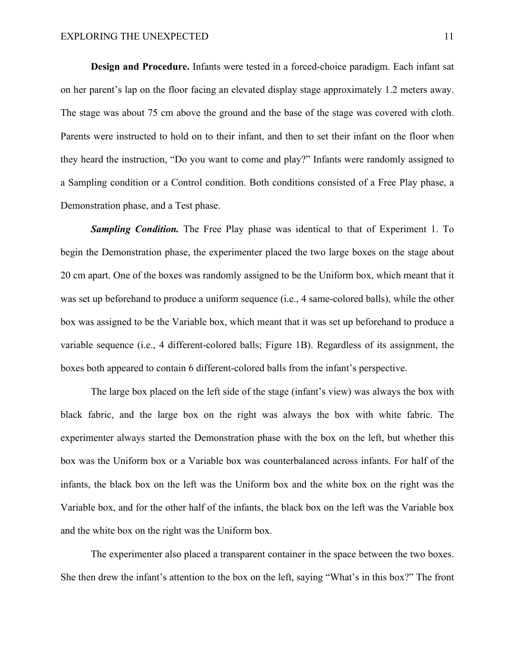**Design and Procedure.** Infants were tested in a forced-choice paradigm. Each infant sat on her parent's lap on the floor facing an elevated display stage approximately 1.2 meters away. The stage was about 75 cm above the ground and the base of the stage was covered with cloth. Parents were instructed to hold on to their infant, and then to set their infant on the floor when they heard the instruction, "Do you want to come and play?" Infants were randomly assigned to a Sampling condition or a Control condition. Both conditions consisted of a Free Play phase, a Demonstration phase, and a Test phase.

*Sampling Condition.* The Free Play phase was identical to that of Experiment 1. To begin the Demonstration phase, the experimenter placed the two large boxes on the stage about 20 cm apart. One of the boxes was randomly assigned to be the Uniform box, which meant that it was set up beforehand to produce a uniform sequence (i.e., 4 same-colored balls), while the other box was assigned to be the Variable box, which meant that it was set up beforehand to produce a variable sequence (i.e., 4 different-colored balls; Figure 1B). Regardless of its assignment, the boxes both appeared to contain 6 different-colored balls from the infant's perspective.

The large box placed on the left side of the stage (infant's view) was always the box with black fabric, and the large box on the right was always the box with white fabric. The experimenter always started the Demonstration phase with the box on the left, but whether this box was the Uniform box or a Variable box was counterbalanced across infants. For half of the infants, the black box on the left was the Uniform box and the white box on the right was the Variable box, and for the other half of the infants, the black box on the left was the Variable box and the white box on the right was the Uniform box.

The experimenter also placed a transparent container in the space between the two boxes. She then drew the infant's attention to the box on the left, saying "What's in this box?" The front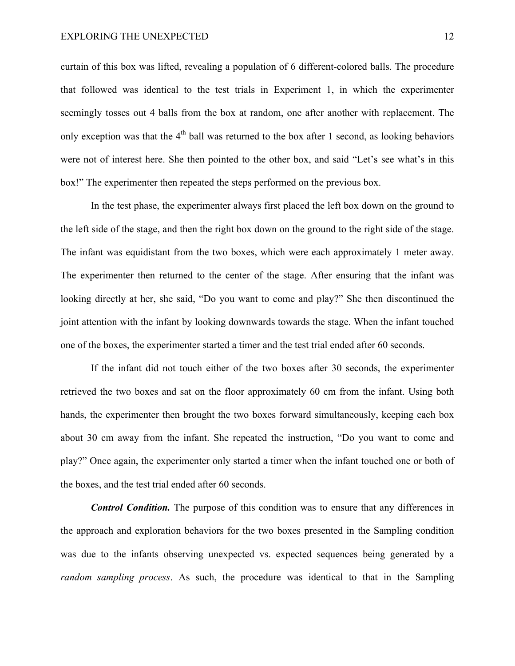curtain of this box was lifted, revealing a population of 6 different-colored balls. The procedure that followed was identical to the test trials in Experiment 1, in which the experimenter seemingly tosses out 4 balls from the box at random, one after another with replacement. The only exception was that the  $4<sup>th</sup>$  ball was returned to the box after 1 second, as looking behaviors were not of interest here. She then pointed to the other box, and said "Let's see what's in this box!" The experimenter then repeated the steps performed on the previous box.

In the test phase, the experimenter always first placed the left box down on the ground to the left side of the stage, and then the right box down on the ground to the right side of the stage. The infant was equidistant from the two boxes, which were each approximately 1 meter away. The experimenter then returned to the center of the stage. After ensuring that the infant was looking directly at her, she said, "Do you want to come and play?" She then discontinued the joint attention with the infant by looking downwards towards the stage. When the infant touched one of the boxes, the experimenter started a timer and the test trial ended after 60 seconds.

If the infant did not touch either of the two boxes after 30 seconds, the experimenter retrieved the two boxes and sat on the floor approximately 60 cm from the infant. Using both hands, the experimenter then brought the two boxes forward simultaneously, keeping each box about 30 cm away from the infant. She repeated the instruction, "Do you want to come and play?" Once again, the experimenter only started a timer when the infant touched one or both of the boxes, and the test trial ended after 60 seconds.

*Control Condition.* The purpose of this condition was to ensure that any differences in the approach and exploration behaviors for the two boxes presented in the Sampling condition was due to the infants observing unexpected vs. expected sequences being generated by a *random sampling process*. As such, the procedure was identical to that in the Sampling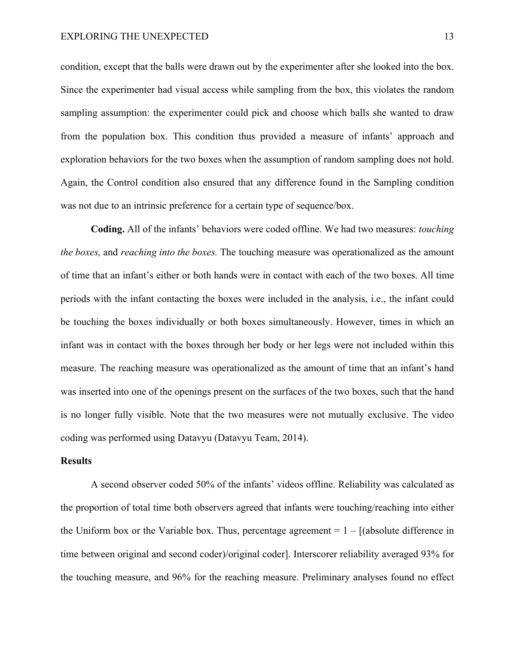condition, except that the balls were drawn out by the experimenter after she looked into the box. Since the experimenter had visual access while sampling from the box, this violates the random sampling assumption: the experimenter could pick and choose which balls she wanted to draw from the population box. This condition thus provided a measure of infants' approach and exploration behaviors for the two boxes when the assumption of random sampling does not hold. Again, the Control condition also ensured that any difference found in the Sampling condition was not due to an intrinsic preference for a certain type of sequence/box.

**Coding.** All of the infants' behaviors were coded offline. We had two measures: *touching the boxes,* and *reaching into the boxes.* The touching measure was operationalized as the amount of time that an infant's either or both hands were in contact with each of the two boxes. All time periods with the infant contacting the boxes were included in the analysis, i.e., the infant could be touching the boxes individually or both boxes simultaneously. However, times in which an infant was in contact with the boxes through her body or her legs were not included within this measure. The reaching measure was operationalized as the amount of time that an infant's hand was inserted into one of the openings present on the surfaces of the two boxes, such that the hand is no longer fully visible. Note that the two measures were not mutually exclusive. The video coding was performed using Datavyu (Datavyu Team, 2014).

#### **Results**

A second observer coded 50% of the infants' videos offline. Reliability was calculated as the proportion of total time both observers agreed that infants were touching/reaching into either the Uniform box or the Variable box. Thus, percentage agreement  $= 1 - \frac{1}{3}$  (absolute difference in time between original and second coder)/original coder]. Interscorer reliability averaged 93% for the touching measure, and 96% for the reaching measure. Preliminary analyses found no effect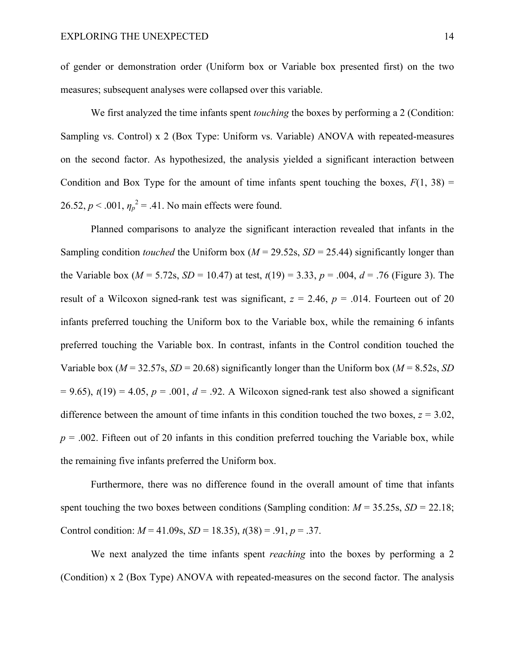of gender or demonstration order (Uniform box or Variable box presented first) on the two measures; subsequent analyses were collapsed over this variable.

We first analyzed the time infants spent *touching* the boxes by performing a 2 (Condition: Sampling vs. Control) x 2 (Box Type: Uniform vs. Variable) ANOVA with repeated-measures on the second factor. As hypothesized, the analysis yielded a significant interaction between Condition and Box Type for the amount of time infants spent touching the boxes,  $F(1, 38) =$ 26.52,  $p < .001$ ,  $\eta_p^2 = .41$ . No main effects were found.

Planned comparisons to analyze the significant interaction revealed that infants in the Sampling condition *touched* the Uniform box ( $M = 29.52$ s,  $SD = 25.44$ ) significantly longer than the Variable box ( $M = 5.72$ s,  $SD = 10.47$ ) at test,  $t(19) = 3.33$ ,  $p = .004$ ,  $d = .76$  (Figure 3). The result of a Wilcoxon signed-rank test was significant,  $z = 2.46$ ,  $p = .014$ . Fourteen out of 20 infants preferred touching the Uniform box to the Variable box, while the remaining 6 infants preferred touching the Variable box. In contrast, infants in the Control condition touched the Variable box ( $M = 32.57$ s,  $SD = 20.68$ ) significantly longer than the Uniform box ( $M = 8.52$ s, *SD*)  $= 9.65$ ),  $t(19) = 4.05$ ,  $p = .001$ ,  $d = .92$ . A Wilcoxon signed-rank test also showed a significant difference between the amount of time infants in this condition touched the two boxes,  $z = 3.02$ ,  $p = 0.002$ . Fifteen out of 20 infants in this condition preferred touching the Variable box, while the remaining five infants preferred the Uniform box.

Furthermore, there was no difference found in the overall amount of time that infants spent touching the two boxes between conditions (Sampling condition:  $M = 35.25$ s,  $SD = 22.18$ ; Control condition:  $M = 41.09$ s,  $SD = 18.35$ ),  $t(38) = .91$ ,  $p = .37$ .

We next analyzed the time infants spent *reaching* into the boxes by performing a 2 (Condition) x 2 (Box Type) ANOVA with repeated-measures on the second factor. The analysis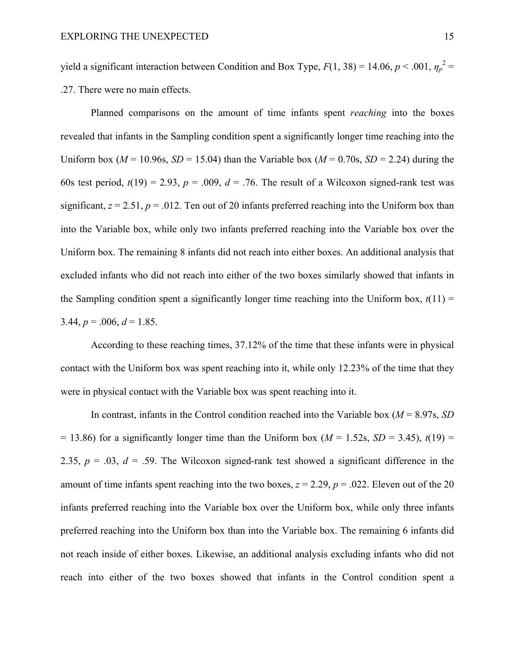yield a significant interaction between Condition and Box Type,  $F(1, 38) = 14.06$ ,  $p < .001$ ,  $\eta_p^2 =$ .27. There were no main effects.

Planned comparisons on the amount of time infants spent *reaching* into the boxes revealed that infants in the Sampling condition spent a significantly longer time reaching into the Uniform box ( $M = 10.96$ s,  $SD = 15.04$ ) than the Variable box ( $M = 0.70$ s,  $SD = 2.24$ ) during the 60s test period,  $t(19) = 2.93$ ,  $p = .009$ ,  $d = .76$ . The result of a Wilcoxon signed-rank test was significant,  $z = 2.51$ ,  $p = .012$ . Ten out of 20 infants preferred reaching into the Uniform box than into the Variable box, while only two infants preferred reaching into the Variable box over the Uniform box. The remaining 8 infants did not reach into either boxes. An additional analysis that excluded infants who did not reach into either of the two boxes similarly showed that infants in the Sampling condition spent a significantly longer time reaching into the Uniform box,  $t(11)$  = 3.44,  $p = .006$ ,  $d = 1.85$ .

According to these reaching times, 37.12% of the time that these infants were in physical contact with the Uniform box was spent reaching into it, while only 12.23% of the time that they were in physical contact with the Variable box was spent reaching into it.

In contrast, infants in the Control condition reached into the Variable box  $(M = 8.97s, SD)$  $= 13.86$ ) for a significantly longer time than the Uniform box ( $M = 1.52$ s,  $SD = 3.45$ ),  $t(19) =$ 2.35,  $p = .03$ ,  $d = .59$ . The Wilcoxon signed-rank test showed a significant difference in the amount of time infants spent reaching into the two boxes,  $z = 2.29$ ,  $p = .022$ . Eleven out of the 20 infants preferred reaching into the Variable box over the Uniform box, while only three infants preferred reaching into the Uniform box than into the Variable box. The remaining 6 infants did not reach inside of either boxes. Likewise, an additional analysis excluding infants who did not reach into either of the two boxes showed that infants in the Control condition spent a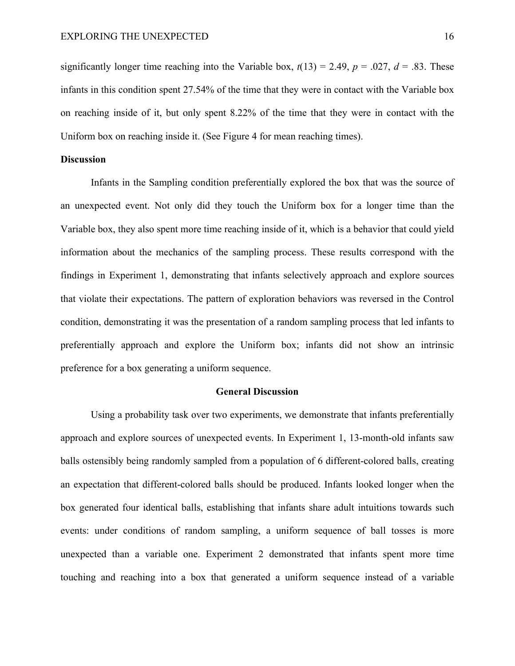significantly longer time reaching into the Variable box,  $t(13) = 2.49$ ,  $p = .027$ ,  $d = .83$ . These infants in this condition spent 27.54% of the time that they were in contact with the Variable box on reaching inside of it, but only spent 8.22% of the time that they were in contact with the Uniform box on reaching inside it. (See Figure 4 for mean reaching times).

# **Discussion**

Infants in the Sampling condition preferentially explored the box that was the source of an unexpected event. Not only did they touch the Uniform box for a longer time than the Variable box, they also spent more time reaching inside of it, which is a behavior that could yield information about the mechanics of the sampling process. These results correspond with the findings in Experiment 1, demonstrating that infants selectively approach and explore sources that violate their expectations. The pattern of exploration behaviors was reversed in the Control condition, demonstrating it was the presentation of a random sampling process that led infants to preferentially approach and explore the Uniform box; infants did not show an intrinsic preference for a box generating a uniform sequence.

#### **General Discussion**

Using a probability task over two experiments, we demonstrate that infants preferentially approach and explore sources of unexpected events. In Experiment 1, 13-month-old infants saw balls ostensibly being randomly sampled from a population of 6 different-colored balls, creating an expectation that different-colored balls should be produced. Infants looked longer when the box generated four identical balls, establishing that infants share adult intuitions towards such events: under conditions of random sampling, a uniform sequence of ball tosses is more unexpected than a variable one. Experiment 2 demonstrated that infants spent more time touching and reaching into a box that generated a uniform sequence instead of a variable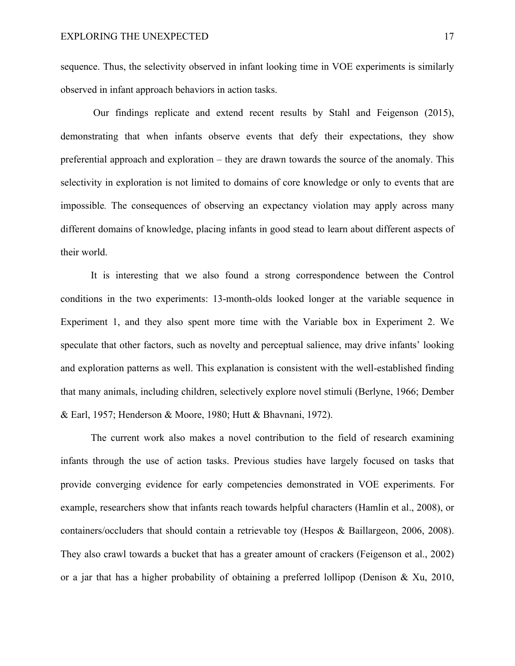sequence. Thus, the selectivity observed in infant looking time in VOE experiments is similarly observed in infant approach behaviors in action tasks.

Our findings replicate and extend recent results by Stahl and Feigenson (2015), demonstrating that when infants observe events that defy their expectations, they show preferential approach and exploration – they are drawn towards the source of the anomaly. This selectivity in exploration is not limited to domains of core knowledge or only to events that are impossible*.* The consequences of observing an expectancy violation may apply across many different domains of knowledge, placing infants in good stead to learn about different aspects of their world.

It is interesting that we also found a strong correspondence between the Control conditions in the two experiments: 13-month-olds looked longer at the variable sequence in Experiment 1, and they also spent more time with the Variable box in Experiment 2. We speculate that other factors, such as novelty and perceptual salience, may drive infants' looking and exploration patterns as well. This explanation is consistent with the well-established finding that many animals, including children, selectively explore novel stimuli (Berlyne, 1966; Dember & Earl, 1957; Henderson & Moore, 1980; Hutt & Bhavnani, 1972).

The current work also makes a novel contribution to the field of research examining infants through the use of action tasks. Previous studies have largely focused on tasks that provide converging evidence for early competencies demonstrated in VOE experiments. For example, researchers show that infants reach towards helpful characters (Hamlin et al., 2008), or containers/occluders that should contain a retrievable toy (Hespos & Baillargeon, 2006, 2008). They also crawl towards a bucket that has a greater amount of crackers (Feigenson et al., 2002) or a jar that has a higher probability of obtaining a preferred lollipop (Denison & Xu, 2010,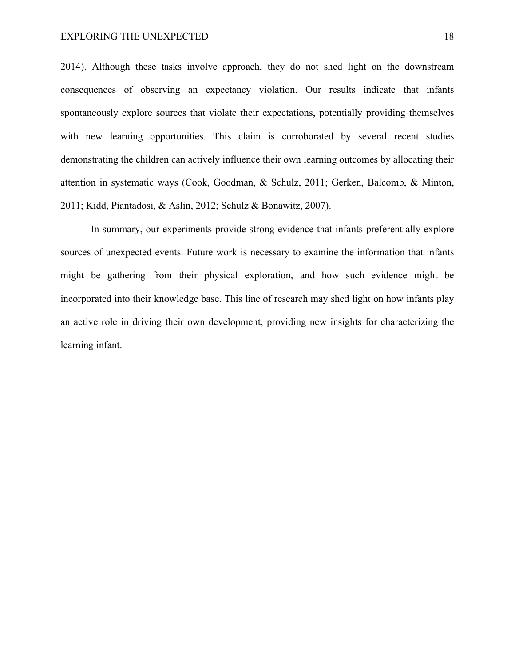2014). Although these tasks involve approach, they do not shed light on the downstream consequences of observing an expectancy violation. Our results indicate that infants spontaneously explore sources that violate their expectations, potentially providing themselves with new learning opportunities. This claim is corroborated by several recent studies demonstrating the children can actively influence their own learning outcomes by allocating their attention in systematic ways (Cook, Goodman, & Schulz, 2011; Gerken, Balcomb, & Minton, 2011; Kidd, Piantadosi, & Aslin, 2012; Schulz & Bonawitz, 2007).

In summary, our experiments provide strong evidence that infants preferentially explore sources of unexpected events. Future work is necessary to examine the information that infants might be gathering from their physical exploration, and how such evidence might be incorporated into their knowledge base. This line of research may shed light on how infants play an active role in driving their own development, providing new insights for characterizing the learning infant.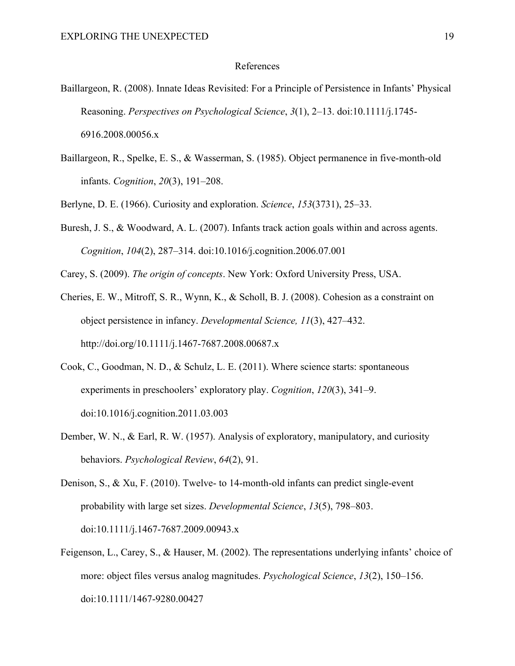#### References

- Baillargeon, R. (2008). Innate Ideas Revisited: For a Principle of Persistence in Infants' Physical Reasoning. *Perspectives on Psychological Science*, *3*(1), 2–13. doi:10.1111/j.1745- 6916.2008.00056.x
- Baillargeon, R., Spelke, E. S., & Wasserman, S. (1985). Object permanence in five-month-old infants. *Cognition*, *20*(3), 191–208.
- Berlyne, D. E. (1966). Curiosity and exploration. *Science*, *153*(3731), 25–33.
- Buresh, J. S., & Woodward, A. L. (2007). Infants track action goals within and across agents. *Cognition*, *104*(2), 287–314. doi:10.1016/j.cognition.2006.07.001

Carey, S. (2009). *The origin of concepts*. New York: Oxford University Press, USA.

- Cheries, E. W., Mitroff, S. R., Wynn, K., & Scholl, B. J. (2008). Cohesion as a constraint on object persistence in infancy. *Developmental Science, 11*(3), 427–432. http://doi.org/10.1111/j.1467-7687.2008.00687.x
- Cook, C., Goodman, N. D., & Schulz, L. E. (2011). Where science starts: spontaneous experiments in preschoolers' exploratory play. *Cognition*, *120*(3), 341–9. doi:10.1016/j.cognition.2011.03.003
- Dember, W. N., & Earl, R. W. (1957). Analysis of exploratory, manipulatory, and curiosity behaviors. *Psychological Review*, *64*(2), 91.
- Denison, S., & Xu, F. (2010). Twelve- to 14-month-old infants can predict single-event probability with large set sizes. *Developmental Science*, *13*(5), 798–803. doi:10.1111/j.1467-7687.2009.00943.x
- Feigenson, L., Carey, S., & Hauser, M. (2002). The representations underlying infants' choice of more: object files versus analog magnitudes. *Psychological Science*, *13*(2), 150–156. doi:10.1111/1467-9280.00427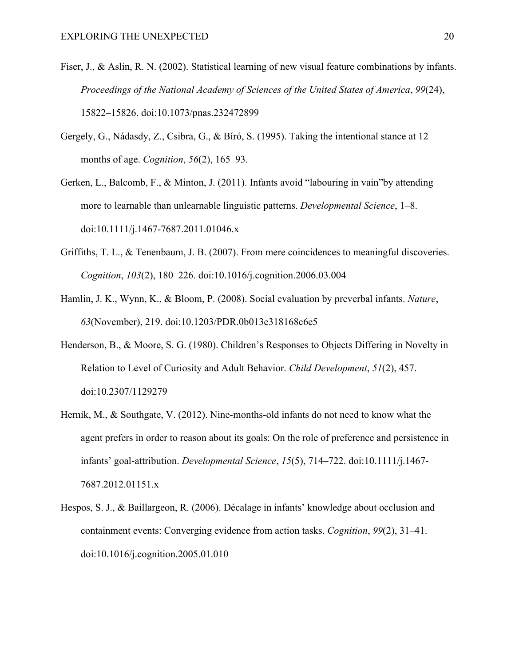- Fiser, J., & Aslin, R. N. (2002). Statistical learning of new visual feature combinations by infants. *Proceedings of the National Academy of Sciences of the United States of America*, *99*(24), 15822–15826. doi:10.1073/pnas.232472899
- Gergely, G., Nádasdy, Z., Csibra, G., & Bíró, S. (1995). Taking the intentional stance at 12 months of age. *Cognition*, *56*(2), 165–93.
- Gerken, L., Balcomb, F., & Minton, J. (2011). Infants avoid "labouring in vain"by attending more to learnable than unlearnable linguistic patterns. *Developmental Science*, 1–8. doi:10.1111/j.1467-7687.2011.01046.x
- Griffiths, T. L., & Tenenbaum, J. B. (2007). From mere coincidences to meaningful discoveries. *Cognition*, *103*(2), 180–226. doi:10.1016/j.cognition.2006.03.004
- Hamlin, J. K., Wynn, K., & Bloom, P. (2008). Social evaluation by preverbal infants. *Nature*, *63*(November), 219. doi:10.1203/PDR.0b013e318168c6e5
- Henderson, B., & Moore, S. G. (1980). Children's Responses to Objects Differing in Novelty in Relation to Level of Curiosity and Adult Behavior. *Child Development*, *51*(2), 457. doi:10.2307/1129279
- Hernik, M., & Southgate, V. (2012). Nine-months-old infants do not need to know what the agent prefers in order to reason about its goals: On the role of preference and persistence in infants' goal-attribution. *Developmental Science*, *15*(5), 714–722. doi:10.1111/j.1467- 7687.2012.01151.x
- Hespos, S. J., & Baillargeon, R. (2006). Décalage in infants' knowledge about occlusion and containment events: Converging evidence from action tasks. *Cognition*, *99*(2), 31–41. doi:10.1016/j.cognition.2005.01.010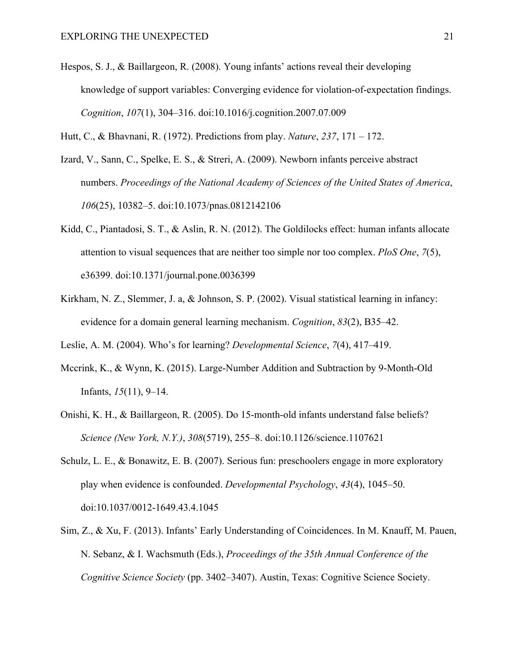Hespos, S. J., & Baillargeon, R. (2008). Young infants' actions reveal their developing knowledge of support variables: Converging evidence for violation-of-expectation findings. *Cognition*, *107*(1), 304–316. doi:10.1016/j.cognition.2007.07.009

Hutt, C., & Bhavnani, R. (1972). Predictions from play. *Nature*, *237*, 171 – 172.

- Izard, V., Sann, C., Spelke, E. S., & Streri, A. (2009). Newborn infants perceive abstract numbers. *Proceedings of the National Academy of Sciences of the United States of America*, *106*(25), 10382–5. doi:10.1073/pnas.0812142106
- Kidd, C., Piantadosi, S. T., & Aslin, R. N. (2012). The Goldilocks effect: human infants allocate attention to visual sequences that are neither too simple nor too complex. *PloS One*, *7*(5), e36399. doi:10.1371/journal.pone.0036399
- Kirkham, N. Z., Slemmer, J. a, & Johnson, S. P. (2002). Visual statistical learning in infancy: evidence for a domain general learning mechanism. *Cognition*, *83*(2), B35–42.

Leslie, A. M. (2004). Who's for learning? *Developmental Science*, *7*(4), 417–419.

- Mccrink, K., & Wynn, K. (2015). Large-Number Addition and Subtraction by 9-Month-Old Infants, *15*(11), 9–14.
- Onishi, K. H., & Baillargeon, R. (2005). Do 15-month-old infants understand false beliefs? *Science (New York, N.Y.)*, *308*(5719), 255–8. doi:10.1126/science.1107621
- Schulz, L. E., & Bonawitz, E. B. (2007). Serious fun: preschoolers engage in more exploratory play when evidence is confounded. *Developmental Psychology*, *43*(4), 1045–50. doi:10.1037/0012-1649.43.4.1045
- Sim, Z., & Xu, F. (2013). Infants' Early Understanding of Coincidences. In M. Knauff, M. Pauen, N. Sebanz, & I. Wachsmuth (Eds.), *Proceedings of the 35th Annual Conference of the Cognitive Science Society* (pp. 3402–3407). Austin, Texas: Cognitive Science Society.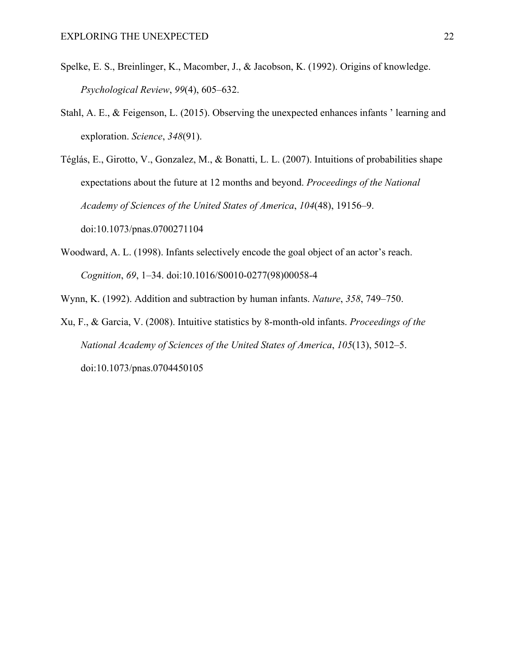- Spelke, E. S., Breinlinger, K., Macomber, J., & Jacobson, K. (1992). Origins of knowledge. *Psychological Review*, *99*(4), 605–632.
- Stahl, A. E., & Feigenson, L. (2015). Observing the unexpected enhances infants ' learning and exploration. *Science*, *348*(91).

Téglás, E., Girotto, V., Gonzalez, M., & Bonatti, L. L. (2007). Intuitions of probabilities shape expectations about the future at 12 months and beyond. *Proceedings of the National Academy of Sciences of the United States of America*, *104*(48), 19156–9. doi:10.1073/pnas.0700271104

Woodward, A. L. (1998). Infants selectively encode the goal object of an actor's reach. *Cognition*, *69*, 1–34. doi:10.1016/S0010-0277(98)00058-4

Wynn, K. (1992). Addition and subtraction by human infants. *Nature*, *358*, 749–750.

Xu, F., & Garcia, V. (2008). Intuitive statistics by 8-month-old infants. *Proceedings of the National Academy of Sciences of the United States of America*, *105*(13), 5012–5. doi:10.1073/pnas.0704450105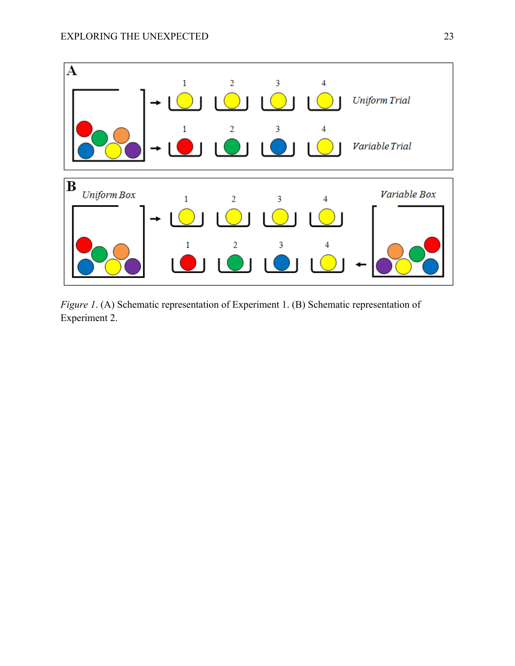

*Figure 1*. (A) Schematic representation of Experiment 1. (B) Schematic representation of Experiment 2.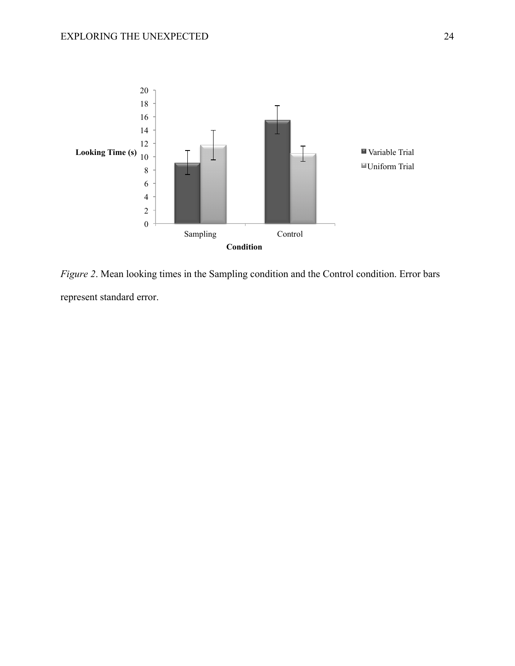

*Figure 2*. Mean looking times in the Sampling condition and the Control condition. Error bars represent standard error.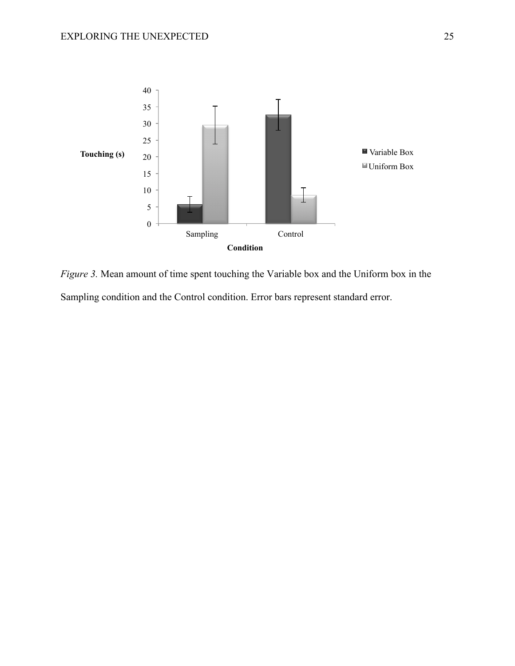

*Figure 3.* Mean amount of time spent touching the Variable box and the Uniform box in the Sampling condition and the Control condition. Error bars represent standard error.